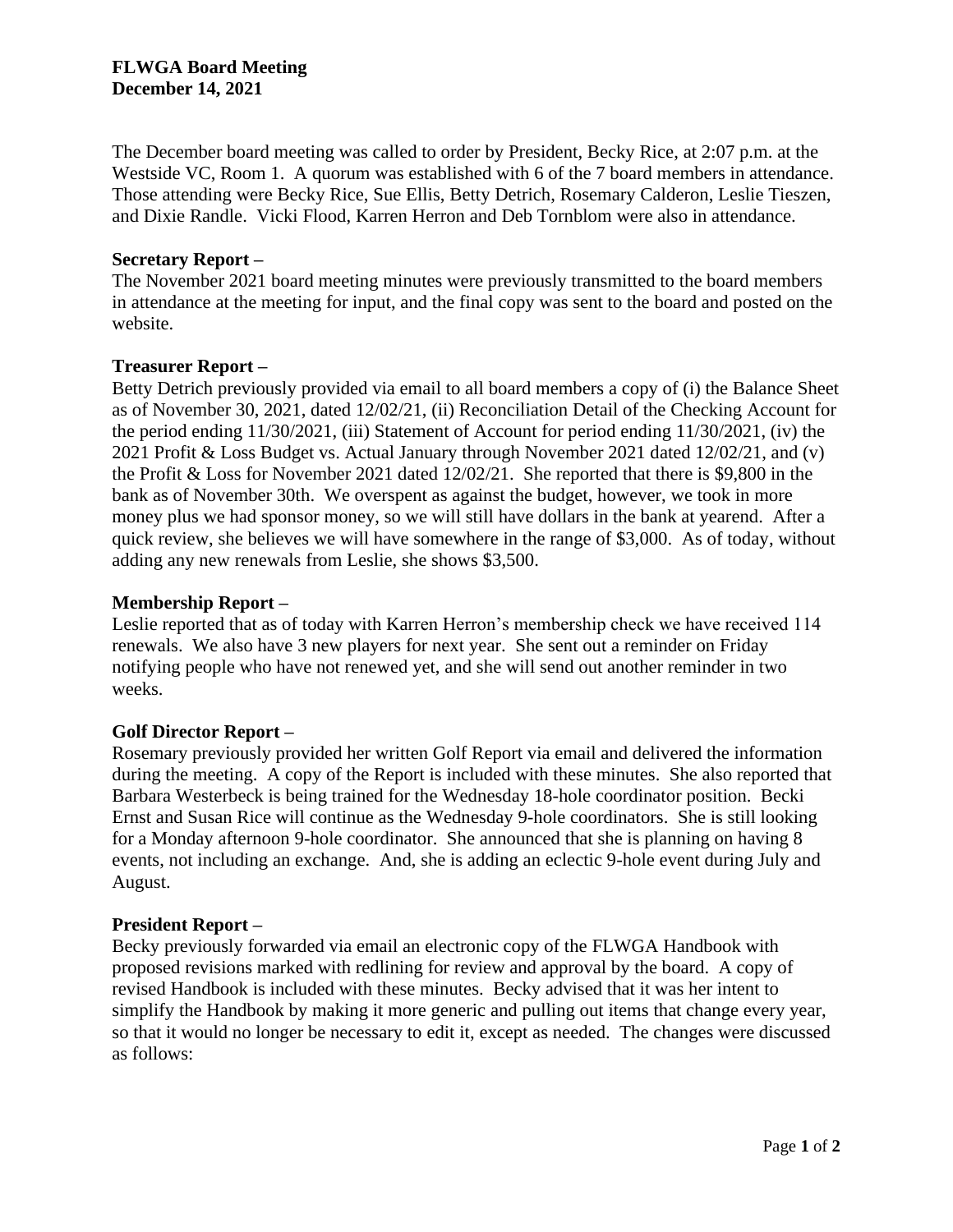The December board meeting was called to order by President, Becky Rice, at 2:07 p.m. at the Westside VC, Room 1. A quorum was established with 6 of the 7 board members in attendance. Those attending were Becky Rice, Sue Ellis, Betty Detrich, Rosemary Calderon, Leslie Tieszen, and Dixie Randle. Vicki Flood, Karren Herron and Deb Tornblom were also in attendance.

## **Secretary Report –**

The November 2021 board meeting minutes were previously transmitted to the board members in attendance at the meeting for input, and the final copy was sent to the board and posted on the website.

### **Treasurer Report –**

Betty Detrich previously provided via email to all board members a copy of (i) the Balance Sheet as of November 30, 2021, dated 12/02/21, (ii) Reconciliation Detail of the Checking Account for the period ending 11/30/2021, (iii) Statement of Account for period ending 11/30/2021, (iv) the 2021 Profit & Loss Budget vs. Actual January through November 2021 dated 12/02/21, and (v) the Profit & Loss for November 2021 dated 12/02/21. She reported that there is \$9,800 in the bank as of November 30th. We overspent as against the budget, however, we took in more money plus we had sponsor money, so we will still have dollars in the bank at yearend. After a quick review, she believes we will have somewhere in the range of \$3,000. As of today, without adding any new renewals from Leslie, she shows \$3,500.

### **Membership Report –**

Leslie reported that as of today with Karren Herron's membership check we have received 114 renewals. We also have 3 new players for next year. She sent out a reminder on Friday notifying people who have not renewed yet, and she will send out another reminder in two weeks.

# **Golf Director Report –**

Rosemary previously provided her written Golf Report via email and delivered the information during the meeting. A copy of the Report is included with these minutes. She also reported that Barbara Westerbeck is being trained for the Wednesday 18-hole coordinator position. Becki Ernst and Susan Rice will continue as the Wednesday 9-hole coordinators. She is still looking for a Monday afternoon 9-hole coordinator. She announced that she is planning on having 8 events, not including an exchange. And, she is adding an eclectic 9-hole event during July and August.

#### **President Report –**

Becky previously forwarded via email an electronic copy of the FLWGA Handbook with proposed revisions marked with redlining for review and approval by the board. A copy of revised Handbook is included with these minutes. Becky advised that it was her intent to simplify the Handbook by making it more generic and pulling out items that change every year, so that it would no longer be necessary to edit it, except as needed. The changes were discussed as follows: